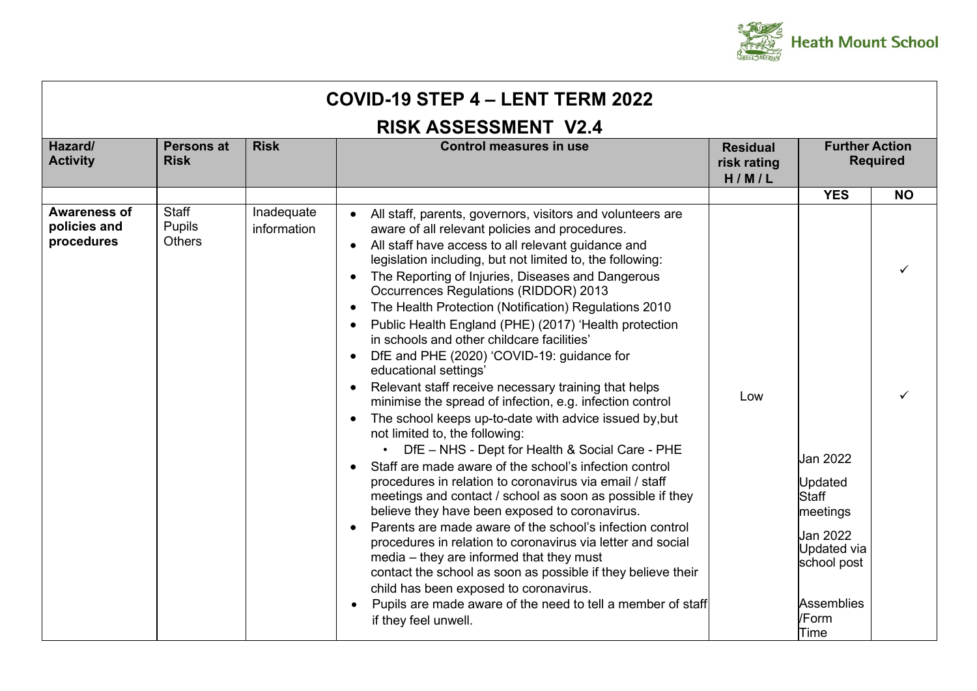

| COVID-19 STEP 4 - LENT TERM 2022                  |                                         |                           |                                                                                                                                                                                                                                                                                                                                                                                                                                                                                                                                                                                                                                                                                                                                                                                                                                                                                                                                                                                                                                                                                                                                                                                                                                                                                                                                                                                                                                                                                                                                            |                                         |                                                                                                                                        |                 |  |  |  |
|---------------------------------------------------|-----------------------------------------|---------------------------|--------------------------------------------------------------------------------------------------------------------------------------------------------------------------------------------------------------------------------------------------------------------------------------------------------------------------------------------------------------------------------------------------------------------------------------------------------------------------------------------------------------------------------------------------------------------------------------------------------------------------------------------------------------------------------------------------------------------------------------------------------------------------------------------------------------------------------------------------------------------------------------------------------------------------------------------------------------------------------------------------------------------------------------------------------------------------------------------------------------------------------------------------------------------------------------------------------------------------------------------------------------------------------------------------------------------------------------------------------------------------------------------------------------------------------------------------------------------------------------------------------------------------------------------|-----------------------------------------|----------------------------------------------------------------------------------------------------------------------------------------|-----------------|--|--|--|
| <b>RISK ASSESSMENT V2.4</b>                       |                                         |                           |                                                                                                                                                                                                                                                                                                                                                                                                                                                                                                                                                                                                                                                                                                                                                                                                                                                                                                                                                                                                                                                                                                                                                                                                                                                                                                                                                                                                                                                                                                                                            |                                         |                                                                                                                                        |                 |  |  |  |
| Hazard/<br><b>Activity</b>                        | <b>Persons at</b><br><b>Risk</b>        | <b>Risk</b>               | <b>Control measures in use</b>                                                                                                                                                                                                                                                                                                                                                                                                                                                                                                                                                                                                                                                                                                                                                                                                                                                                                                                                                                                                                                                                                                                                                                                                                                                                                                                                                                                                                                                                                                             | <b>Residual</b><br>risk rating<br>H/M/L | <b>Further Action</b>                                                                                                                  | <b>Required</b> |  |  |  |
|                                                   |                                         |                           |                                                                                                                                                                                                                                                                                                                                                                                                                                                                                                                                                                                                                                                                                                                                                                                                                                                                                                                                                                                                                                                                                                                                                                                                                                                                                                                                                                                                                                                                                                                                            |                                         | <b>YES</b>                                                                                                                             | <b>NO</b>       |  |  |  |
| <b>Awareness of</b><br>policies and<br>procedures | Staff<br><b>Pupils</b><br><b>Others</b> | Inadequate<br>information | All staff, parents, governors, visitors and volunteers are<br>aware of all relevant policies and procedures.<br>All staff have access to all relevant guidance and<br>$\bullet$<br>legislation including, but not limited to, the following:<br>The Reporting of Injuries, Diseases and Dangerous<br>$\bullet$<br><b>Occurrences Regulations (RIDDOR) 2013</b><br>The Health Protection (Notification) Regulations 2010<br>$\bullet$<br>Public Health England (PHE) (2017) 'Health protection<br>$\bullet$<br>in schools and other childcare facilities'<br>DfE and PHE (2020) 'COVID-19: guidance for<br>$\bullet$<br>educational settings'<br>Relevant staff receive necessary training that helps<br>$\bullet$<br>minimise the spread of infection, e.g. infection control<br>The school keeps up-to-date with advice issued by, but<br>not limited to, the following:<br>• DfE - NHS - Dept for Health & Social Care - PHE<br>Staff are made aware of the school's infection control<br>procedures in relation to coronavirus via email / staff<br>meetings and contact / school as soon as possible if they<br>believe they have been exposed to coronavirus.<br>Parents are made aware of the school's infection control<br>procedures in relation to coronavirus via letter and social<br>media – they are informed that they must<br>contact the school as soon as possible if they believe their<br>child has been exposed to coronavirus.<br>Pupils are made aware of the need to tell a member of staff<br>if they feel unwell. | Low                                     | Jan 2022<br>Updated<br><b>Staff</b><br>meetings<br>Jan 2022<br><b>Updated via</b><br>school post<br><b>Assemblies</b><br>/Form<br>Time |                 |  |  |  |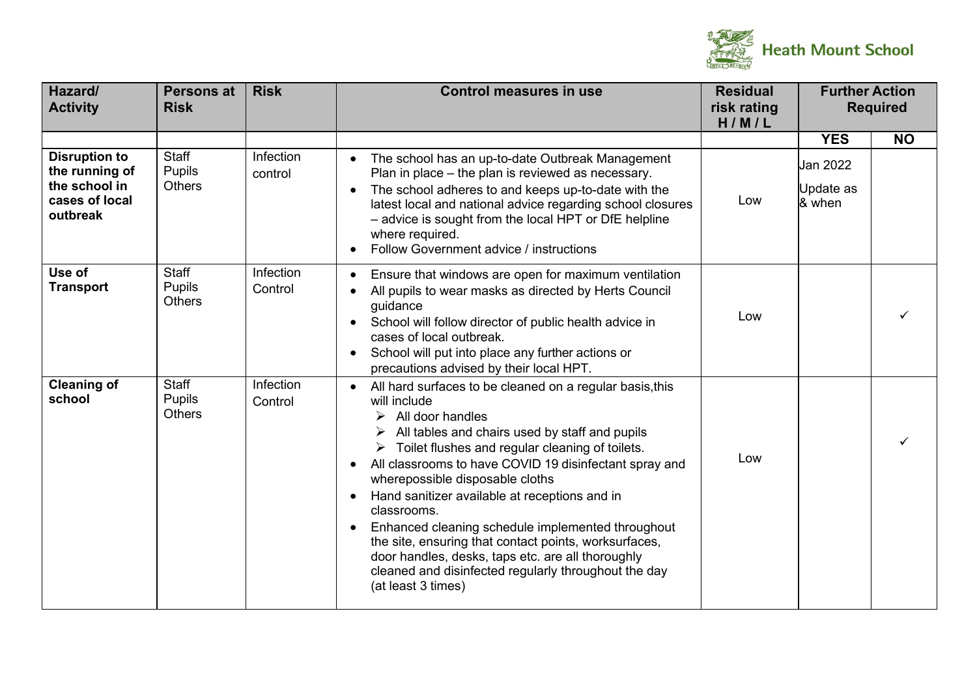

| Hazard/<br><b>Activity</b>                                                            | <b>Persons at</b><br><b>Risk</b> | <b>Risk</b>          | <b>Control measures in use</b>                                                                                                                                                                                                                                                                                                                                                                                                                                                                                                                                                                                                                                 | <b>Residual</b><br>risk rating<br>H/M/L | <b>Further Action</b><br><b>Required</b> |           |
|---------------------------------------------------------------------------------------|----------------------------------|----------------------|----------------------------------------------------------------------------------------------------------------------------------------------------------------------------------------------------------------------------------------------------------------------------------------------------------------------------------------------------------------------------------------------------------------------------------------------------------------------------------------------------------------------------------------------------------------------------------------------------------------------------------------------------------------|-----------------------------------------|------------------------------------------|-----------|
|                                                                                       |                                  |                      |                                                                                                                                                                                                                                                                                                                                                                                                                                                                                                                                                                                                                                                                |                                         | <b>YES</b>                               | <b>NO</b> |
| <b>Disruption to</b><br>the running of<br>the school in<br>cases of local<br>outbreak | Staff<br>Pupils<br><b>Others</b> | Infection<br>control | The school has an up-to-date Outbreak Management<br>Plan in place - the plan is reviewed as necessary.<br>The school adheres to and keeps up-to-date with the<br>latest local and national advice regarding school closures<br>- advice is sought from the local HPT or DfE helpline<br>where required.<br>Follow Government advice / instructions                                                                                                                                                                                                                                                                                                             | Low                                     | Jan 2022<br>Update as<br>& when          |           |
| Use of<br><b>Transport</b>                                                            | Staff<br>Pupils<br><b>Others</b> | Infection<br>Control | Ensure that windows are open for maximum ventilation<br>All pupils to wear masks as directed by Herts Council<br>guidance<br>School will follow director of public health advice in<br>cases of local outbreak.<br>School will put into place any further actions or<br>precautions advised by their local HPT.                                                                                                                                                                                                                                                                                                                                                | Low                                     |                                          |           |
| <b>Cleaning of</b><br>school                                                          | Staff<br>Pupils<br><b>Others</b> | Infection<br>Control | All hard surfaces to be cleaned on a regular basis, this<br>will include<br>$\triangleright$ All door handles<br>All tables and chairs used by staff and pupils<br>$\triangleright$ Toilet flushes and regular cleaning of toilets.<br>All classrooms to have COVID 19 disinfectant spray and<br>wherepossible disposable cloths<br>Hand sanitizer available at receptions and in<br>$\bullet$<br>classrooms.<br>Enhanced cleaning schedule implemented throughout<br>the site, ensuring that contact points, worksurfaces,<br>door handles, desks, taps etc. are all thoroughly<br>cleaned and disinfected regularly throughout the day<br>(at least 3 times) | Low                                     |                                          |           |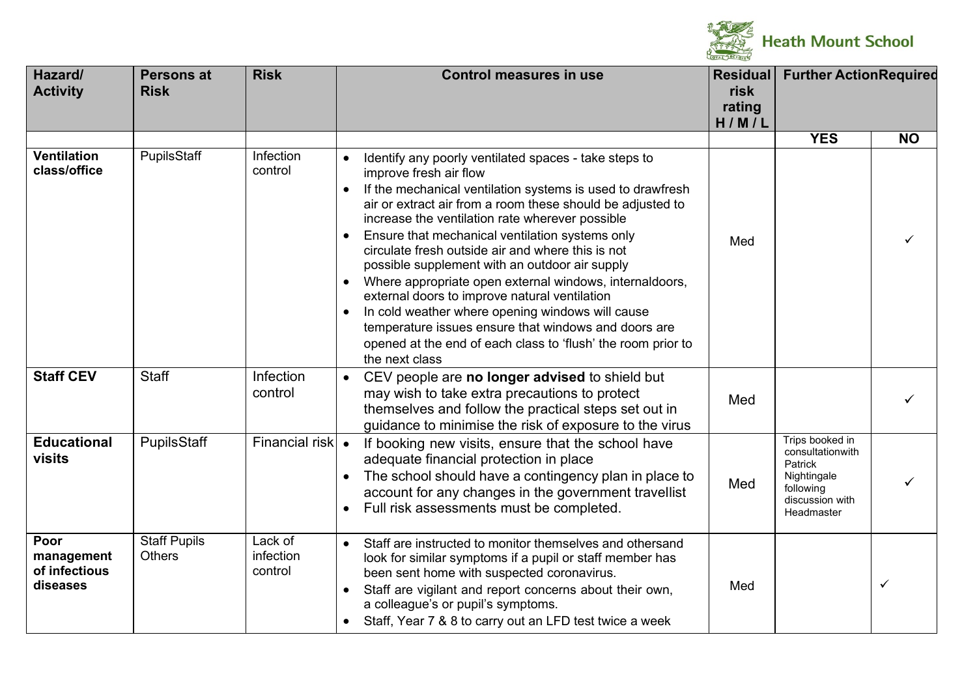

| Hazard/<br><b>Activity</b>                      | <b>Persons at</b><br><b>Risk</b>     | <b>Risk</b>                     | <b>Control measures in use</b>                                                                                                                                                                                                                                                                                                                                                                                                                                                                                                                                                                                                                                                                                                                               | <b>Residual</b><br>risk<br>rating<br>H/M/L | <b>Further ActionRequired</b>                                                                                      |              |
|-------------------------------------------------|--------------------------------------|---------------------------------|--------------------------------------------------------------------------------------------------------------------------------------------------------------------------------------------------------------------------------------------------------------------------------------------------------------------------------------------------------------------------------------------------------------------------------------------------------------------------------------------------------------------------------------------------------------------------------------------------------------------------------------------------------------------------------------------------------------------------------------------------------------|--------------------------------------------|--------------------------------------------------------------------------------------------------------------------|--------------|
|                                                 |                                      |                                 |                                                                                                                                                                                                                                                                                                                                                                                                                                                                                                                                                                                                                                                                                                                                                              |                                            | <b>YES</b>                                                                                                         | <b>NO</b>    |
| <b>Ventilation</b><br>class/office              | PupilsStaff                          | Infection<br>control            | Identify any poorly ventilated spaces - take steps to<br>$\bullet$<br>improve fresh air flow<br>If the mechanical ventilation systems is used to drawfresh<br>$\bullet$<br>air or extract air from a room these should be adjusted to<br>increase the ventilation rate wherever possible<br>Ensure that mechanical ventilation systems only<br>circulate fresh outside air and where this is not<br>possible supplement with an outdoor air supply<br>Where appropriate open external windows, internaldoors,<br>external doors to improve natural ventilation<br>In cold weather where opening windows will cause<br>temperature issues ensure that windows and doors are<br>opened at the end of each class to 'flush' the room prior to<br>the next class | Med                                        |                                                                                                                    | ✓            |
| <b>Staff CEV</b>                                | <b>Staff</b>                         | Infection<br>control            | CEV people are no longer advised to shield but<br>$\bullet$<br>may wish to take extra precautions to protect<br>themselves and follow the practical steps set out in<br>guidance to minimise the risk of exposure to the virus                                                                                                                                                                                                                                                                                                                                                                                                                                                                                                                               | Med                                        |                                                                                                                    |              |
| <b>Educational</b><br>visits                    | PupilsStaff                          | Financial risk                  | $\bullet$<br>If booking new visits, ensure that the school have<br>adequate financial protection in place<br>The school should have a contingency plan in place to<br>$\bullet$<br>account for any changes in the government travellist<br>Full risk assessments must be completed.                                                                                                                                                                                                                                                                                                                                                                                                                                                                          | Med                                        | Trips booked in<br>consultationwith<br><b>Patrick</b><br>Nightingale<br>following<br>discussion with<br>Headmaster |              |
| Poor<br>management<br>of infectious<br>diseases | <b>Staff Pupils</b><br><b>Others</b> | Lack of<br>infection<br>control | Staff are instructed to monitor themselves and othersand<br>$\bullet$<br>look for similar symptoms if a pupil or staff member has<br>been sent home with suspected coronavirus.<br>Staff are vigilant and report concerns about their own,<br>a colleague's or pupil's symptoms.<br>Staff, Year 7 & 8 to carry out an LFD test twice a week<br>$\bullet$                                                                                                                                                                                                                                                                                                                                                                                                     | Med                                        |                                                                                                                    | $\checkmark$ |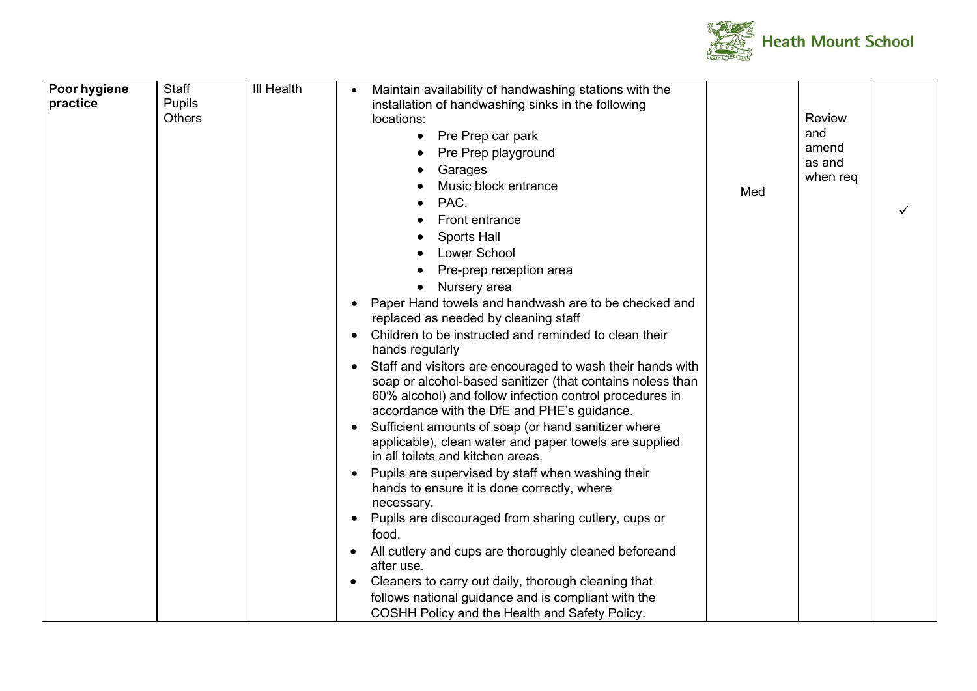

| Poor hygiene<br>practice | Staff<br>Pupils<br><b>Others</b> | <b>III Health</b> | Maintain availability of handwashing stations with the<br>installation of handwashing sinks in the following<br>locations:<br>Pre Prep car park<br>$\bullet$<br>Pre Prep playground<br>Garages<br>Music block entrance<br>PAC.<br>Front entrance<br>Sports Hall<br><b>Lower School</b><br>Pre-prep reception area<br>Nursery area<br>$\bullet$<br>Paper Hand towels and handwash are to be checked and<br>replaced as needed by cleaning staff<br>Children to be instructed and reminded to clean their<br>hands regularly | Med | <b>Review</b><br>and<br>amend<br>as and<br>when req |  |
|--------------------------|----------------------------------|-------------------|----------------------------------------------------------------------------------------------------------------------------------------------------------------------------------------------------------------------------------------------------------------------------------------------------------------------------------------------------------------------------------------------------------------------------------------------------------------------------------------------------------------------------|-----|-----------------------------------------------------|--|
|                          |                                  |                   | soap or alcohol-based sanitizer (that contains noless than<br>60% alcohol) and follow infection control procedures in<br>accordance with the DfE and PHE's guidance.<br>Sufficient amounts of soap (or hand sanitizer where<br>applicable), clean water and paper towels are supplied<br>in all toilets and kitchen areas.<br>Pupils are supervised by staff when washing their<br>hands to ensure it is done correctly, where<br>necessary.<br>Pupils are discouraged from sharing cutlery, cups or                       |     |                                                     |  |
|                          |                                  |                   | food.<br>All cutlery and cups are thoroughly cleaned beforeand<br>after use.<br>Cleaners to carry out daily, thorough cleaning that<br>follows national guidance and is compliant with the<br>COSHH Policy and the Health and Safety Policy.                                                                                                                                                                                                                                                                               |     |                                                     |  |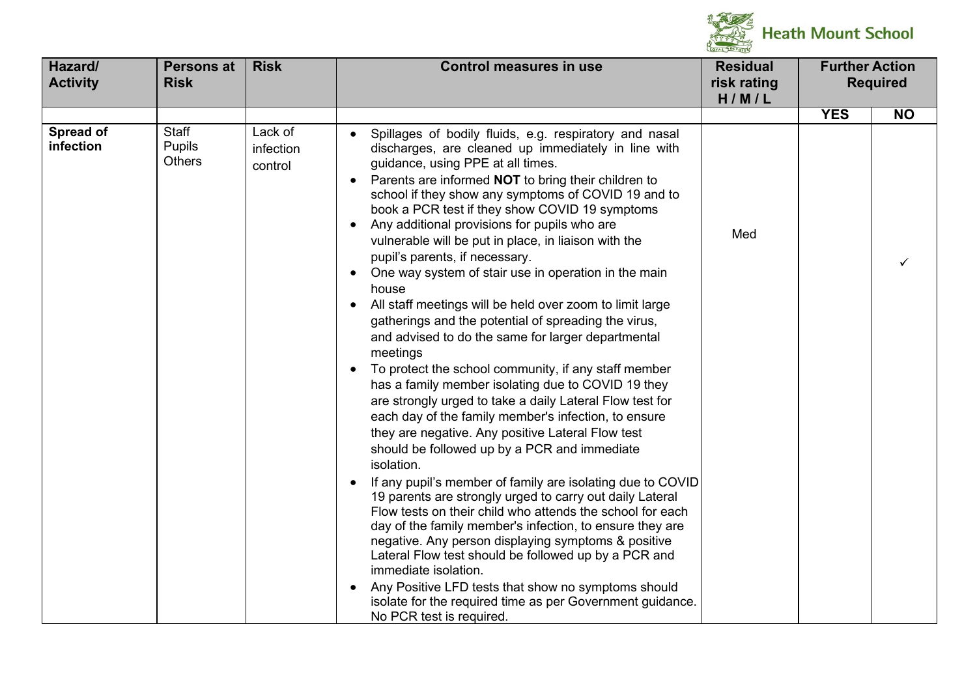

| Hazard/<br><b>Activity</b> | Persons at<br><b>Risk</b>        | <b>Risk</b>                     | <b>Control measures in use</b>                                                                                                                                                                                                                                                                                                                                                                                                                                                                                                                                                                                                                                                                                                                                                                                                                                                                                                                                                                                                                                                                                                                                                                                                                                                                                                                                                                                                                                                                                                                                                                                            | <b>Residual</b><br>risk rating<br>H/M/L | <b>Further Action</b> | <b>Required</b> |
|----------------------------|----------------------------------|---------------------------------|---------------------------------------------------------------------------------------------------------------------------------------------------------------------------------------------------------------------------------------------------------------------------------------------------------------------------------------------------------------------------------------------------------------------------------------------------------------------------------------------------------------------------------------------------------------------------------------------------------------------------------------------------------------------------------------------------------------------------------------------------------------------------------------------------------------------------------------------------------------------------------------------------------------------------------------------------------------------------------------------------------------------------------------------------------------------------------------------------------------------------------------------------------------------------------------------------------------------------------------------------------------------------------------------------------------------------------------------------------------------------------------------------------------------------------------------------------------------------------------------------------------------------------------------------------------------------------------------------------------------------|-----------------------------------------|-----------------------|-----------------|
|                            |                                  |                                 |                                                                                                                                                                                                                                                                                                                                                                                                                                                                                                                                                                                                                                                                                                                                                                                                                                                                                                                                                                                                                                                                                                                                                                                                                                                                                                                                                                                                                                                                                                                                                                                                                           |                                         | <b>YES</b>            | <b>NO</b>       |
| Spread of<br>infection     | Staff<br>Pupils<br><b>Others</b> | Lack of<br>infection<br>control | Spillages of bodily fluids, e.g. respiratory and nasal<br>discharges, are cleaned up immediately in line with<br>guidance, using PPE at all times.<br>Parents are informed <b>NOT</b> to bring their children to<br>school if they show any symptoms of COVID 19 and to<br>book a PCR test if they show COVID 19 symptoms<br>Any additional provisions for pupils who are<br>vulnerable will be put in place, in liaison with the<br>pupil's parents, if necessary.<br>One way system of stair use in operation in the main<br>house<br>All staff meetings will be held over zoom to limit large<br>gatherings and the potential of spreading the virus,<br>and advised to do the same for larger departmental<br>meetings<br>To protect the school community, if any staff member<br>has a family member isolating due to COVID 19 they<br>are strongly urged to take a daily Lateral Flow test for<br>each day of the family member's infection, to ensure<br>they are negative. Any positive Lateral Flow test<br>should be followed up by a PCR and immediate<br>isolation.<br>If any pupil's member of family are isolating due to COVID<br>19 parents are strongly urged to carry out daily Lateral<br>Flow tests on their child who attends the school for each<br>day of the family member's infection, to ensure they are<br>negative. Any person displaying symptoms & positive<br>Lateral Flow test should be followed up by a PCR and<br>immediate isolation.<br>Any Positive LFD tests that show no symptoms should<br>isolate for the required time as per Government guidance.<br>No PCR test is required. | Med                                     |                       |                 |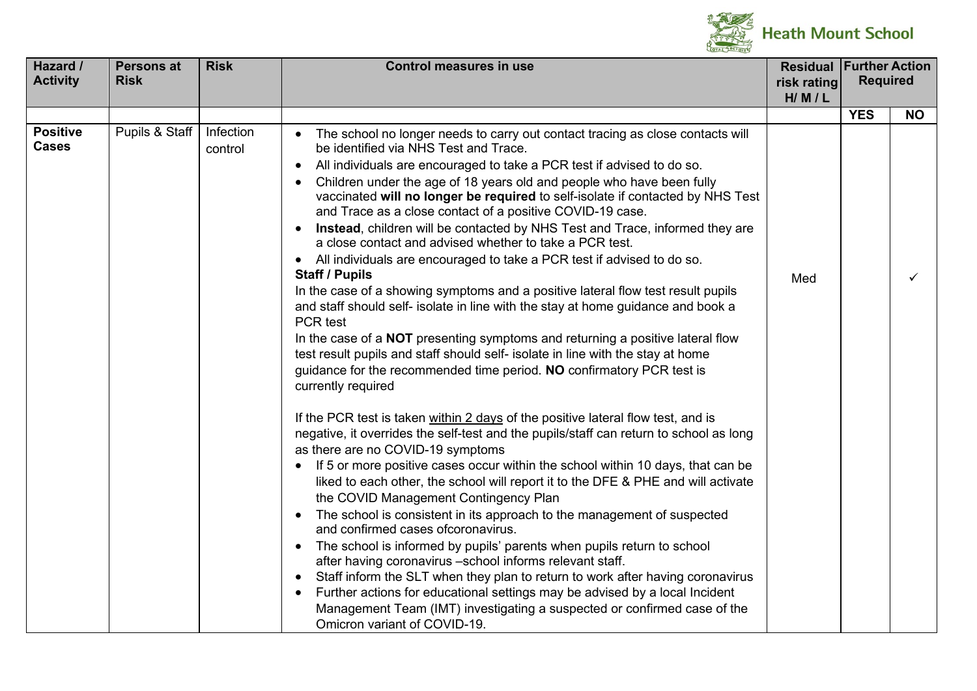

| Hazard /                        | <b>Persons at</b> | <b>Risk</b>          | <b>Control measures in use</b>                                                                                                                                                                                                                                                                                                                                                                                                                                                                                                                                                                                                                                                                                                                                                                                                                                                                                                                                                                                                                                                                                                                                                                                                                                                                                                                                                                                                                                                                                                                                                                                                                                                                                                                                                                                                                                                                                                                                                                                                                                                                                                                                                                                     | <b>Residual</b> | <b>Further Action</b> |           |
|---------------------------------|-------------------|----------------------|--------------------------------------------------------------------------------------------------------------------------------------------------------------------------------------------------------------------------------------------------------------------------------------------------------------------------------------------------------------------------------------------------------------------------------------------------------------------------------------------------------------------------------------------------------------------------------------------------------------------------------------------------------------------------------------------------------------------------------------------------------------------------------------------------------------------------------------------------------------------------------------------------------------------------------------------------------------------------------------------------------------------------------------------------------------------------------------------------------------------------------------------------------------------------------------------------------------------------------------------------------------------------------------------------------------------------------------------------------------------------------------------------------------------------------------------------------------------------------------------------------------------------------------------------------------------------------------------------------------------------------------------------------------------------------------------------------------------------------------------------------------------------------------------------------------------------------------------------------------------------------------------------------------------------------------------------------------------------------------------------------------------------------------------------------------------------------------------------------------------------------------------------------------------------------------------------------------------|-----------------|-----------------------|-----------|
| <b>Activity</b>                 | <b>Risk</b>       |                      |                                                                                                                                                                                                                                                                                                                                                                                                                                                                                                                                                                                                                                                                                                                                                                                                                                                                                                                                                                                                                                                                                                                                                                                                                                                                                                                                                                                                                                                                                                                                                                                                                                                                                                                                                                                                                                                                                                                                                                                                                                                                                                                                                                                                                    | risk rating     | <b>Required</b>       |           |
|                                 |                   |                      |                                                                                                                                                                                                                                                                                                                                                                                                                                                                                                                                                                                                                                                                                                                                                                                                                                                                                                                                                                                                                                                                                                                                                                                                                                                                                                                                                                                                                                                                                                                                                                                                                                                                                                                                                                                                                                                                                                                                                                                                                                                                                                                                                                                                                    | H/M/L           |                       |           |
| <b>Positive</b><br><b>Cases</b> | Pupils & Staff    | Infection<br>control | The school no longer needs to carry out contact tracing as close contacts will<br>be identified via NHS Test and Trace.<br>All individuals are encouraged to take a PCR test if advised to do so.<br>$\bullet$<br>Children under the age of 18 years old and people who have been fully<br>$\bullet$<br>vaccinated will no longer be required to self-isolate if contacted by NHS Test<br>and Trace as a close contact of a positive COVID-19 case.<br>Instead, children will be contacted by NHS Test and Trace, informed they are<br>$\bullet$<br>a close contact and advised whether to take a PCR test.<br>• All individuals are encouraged to take a PCR test if advised to do so.<br><b>Staff / Pupils</b><br>In the case of a showing symptoms and a positive lateral flow test result pupils<br>and staff should self- isolate in line with the stay at home guidance and book a<br>PCR test<br>In the case of a NOT presenting symptoms and returning a positive lateral flow<br>test result pupils and staff should self- isolate in line with the stay at home<br>guidance for the recommended time period. NO confirmatory PCR test is<br>currently required<br>If the PCR test is taken within 2 days of the positive lateral flow test, and is<br>negative, it overrides the self-test and the pupils/staff can return to school as long<br>as there are no COVID-19 symptoms<br>If 5 or more positive cases occur within the school within 10 days, that can be<br>$\bullet$<br>liked to each other, the school will report it to the DFE & PHE and will activate<br>the COVID Management Contingency Plan<br>The school is consistent in its approach to the management of suspected<br>$\bullet$<br>and confirmed cases of coronavirus.<br>The school is informed by pupils' parents when pupils return to school<br>$\bullet$<br>after having coronavirus -school informs relevant staff.<br>Staff inform the SLT when they plan to return to work after having coronavirus<br>$\bullet$<br>Further actions for educational settings may be advised by a local Incident<br>$\bullet$<br>Management Team (IMT) investigating a suspected or confirmed case of the<br>Omicron variant of COVID-19. | Med             | <b>YES</b>            | <b>NO</b> |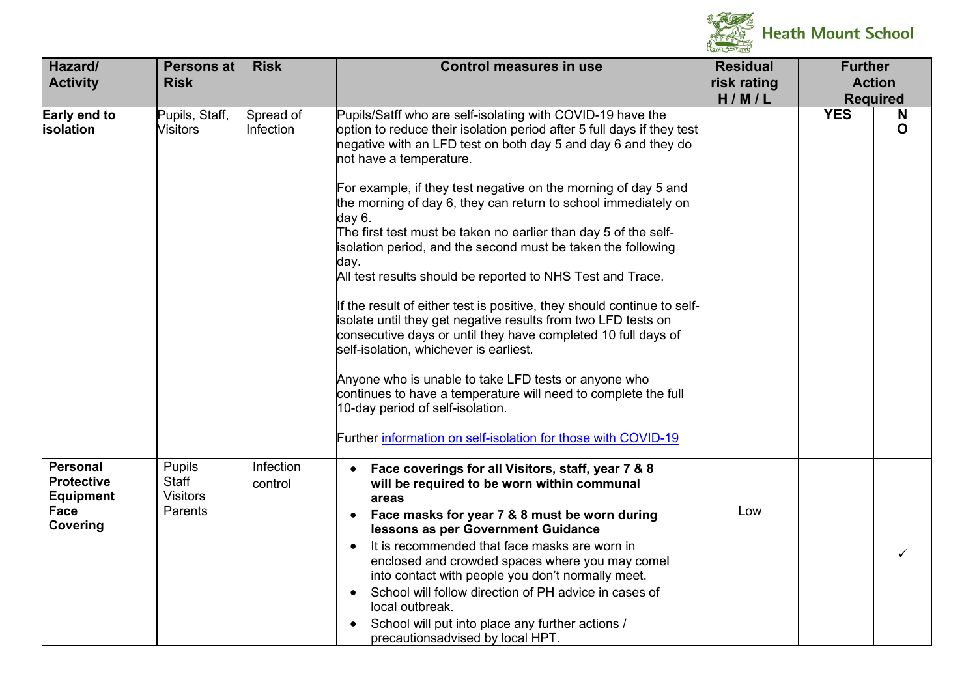

| Hazard/<br><b>Activity</b>                                                          | <b>Persons at</b><br><b>Risk</b>                     | <b>Risk</b>            | <b>Control measures in use</b>                                                                                                                                                                                                                                                                                                                                                                                                                                                                                                                                                                                                                                                                                                                                                                                                                                                                                                                                                                                                                                                | <b>Residual</b><br>risk rating<br>H/M/L | <b>Further</b> | <b>Action</b><br><b>Required</b> |
|-------------------------------------------------------------------------------------|------------------------------------------------------|------------------------|-------------------------------------------------------------------------------------------------------------------------------------------------------------------------------------------------------------------------------------------------------------------------------------------------------------------------------------------------------------------------------------------------------------------------------------------------------------------------------------------------------------------------------------------------------------------------------------------------------------------------------------------------------------------------------------------------------------------------------------------------------------------------------------------------------------------------------------------------------------------------------------------------------------------------------------------------------------------------------------------------------------------------------------------------------------------------------|-----------------------------------------|----------------|----------------------------------|
| Early end to<br>isolation                                                           | Pupils, Staff,<br><b>Visitors</b>                    | Spread of<br>Infection | Pupils/Satff who are self-isolating with COVID-19 have the<br>option to reduce their isolation period after 5 full days if they test<br>negative with an LFD test on both day 5 and day 6 and they do<br>not have a temperature.<br>For example, if they test negative on the morning of day 5 and<br>the morning of day 6, they can return to school immediately on<br>day 6.<br>The first test must be taken no earlier than day 5 of the self-<br>isolation period, and the second must be taken the following<br>day.<br>All test results should be reported to NHS Test and Trace.<br>If the result of either test is positive, they should continue to self-<br>isolate until they get negative results from two LFD tests on<br>consecutive days or until they have completed 10 full days of<br>self-isolation, whichever is earliest.<br>Anyone who is unable to take LFD tests or anyone who<br>continues to have a temperature will need to complete the full<br>10-day period of self-isolation.<br>Further information on self-isolation for those with COVID-19 |                                         | <b>YES</b>     | N<br>O                           |
| <b>Personal</b><br><b>Protective</b><br><b>Equipment</b><br><b>Face</b><br>Covering | <b>Pupils</b><br>Staff<br><b>Visitors</b><br>Parents | Infection<br>control   | Face coverings for all Visitors, staff, year 7 & 8<br>$\bullet$<br>will be required to be worn within communal<br>areas<br>Face masks for year 7 & 8 must be worn during<br>$\bullet$<br>lessons as per Government Guidance<br>It is recommended that face masks are worn in<br>enclosed and crowded spaces where you may comel<br>into contact with people you don't normally meet.<br>School will follow direction of PH advice in cases of<br>$\bullet$<br>local outbreak.<br>School will put into place any further actions /<br>$\bullet$<br>precautionsadvised by local HPT.                                                                                                                                                                                                                                                                                                                                                                                                                                                                                            | Low                                     |                |                                  |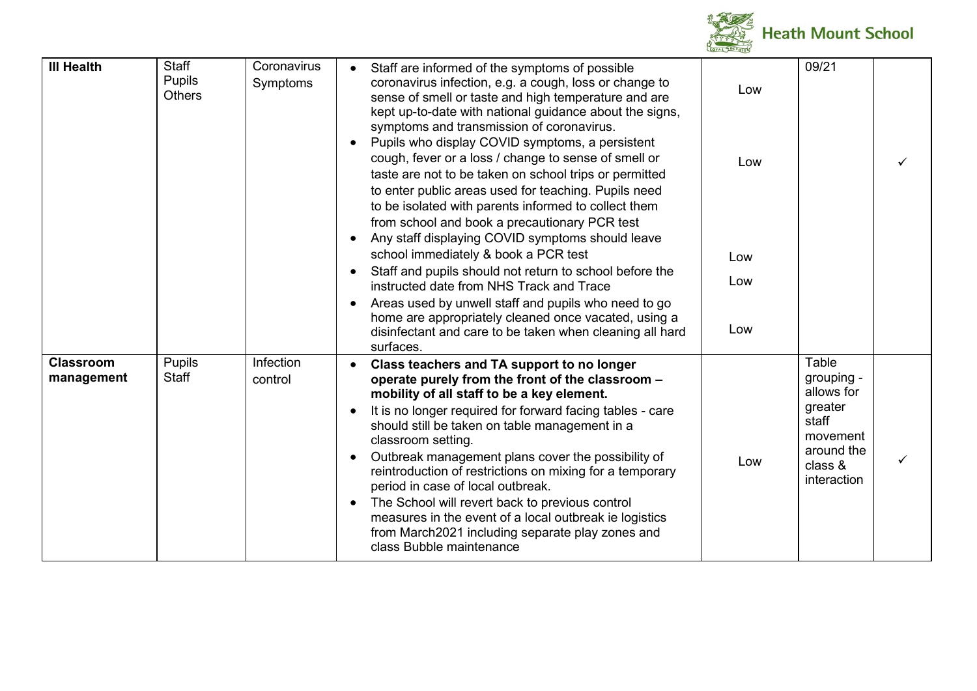

| <b>III Health</b>              | <b>Staff</b><br><b>Pupils</b><br><b>Others</b> | Coronavirus<br>Symptoms | Staff are informed of the symptoms of possible<br>coronavirus infection, e.g. a cough, loss or change to<br>sense of smell or taste and high temperature and are<br>kept up-to-date with national guidance about the signs,<br>symptoms and transmission of coronavirus.<br>Pupils who display COVID symptoms, a persistent<br>cough, fever or a loss / change to sense of smell or<br>taste are not to be taken on school trips or permitted<br>to enter public areas used for teaching. Pupils need<br>to be isolated with parents informed to collect them<br>from school and book a precautionary PCR test<br>Any staff displaying COVID symptoms should leave<br>school immediately & book a PCR test<br>Staff and pupils should not return to school before the<br>instructed date from NHS Track and Trace<br>Areas used by unwell staff and pupils who need to go<br>home are appropriately cleaned once vacated, using a<br>disinfectant and care to be taken when cleaning all hard<br>surfaces. | Low<br>Low<br>Low<br>Low<br>Low | 09/21                                                                                                     |  |
|--------------------------------|------------------------------------------------|-------------------------|------------------------------------------------------------------------------------------------------------------------------------------------------------------------------------------------------------------------------------------------------------------------------------------------------------------------------------------------------------------------------------------------------------------------------------------------------------------------------------------------------------------------------------------------------------------------------------------------------------------------------------------------------------------------------------------------------------------------------------------------------------------------------------------------------------------------------------------------------------------------------------------------------------------------------------------------------------------------------------------------------------|---------------------------------|-----------------------------------------------------------------------------------------------------------|--|
| <b>Classroom</b><br>management | Pupils<br>Staff                                | Infection<br>control    | Class teachers and TA support to no longer<br>operate purely from the front of the classroom -<br>mobility of all staff to be a key element.<br>It is no longer required for forward facing tables - care<br>should still be taken on table management in a<br>classroom setting.<br>Outbreak management plans cover the possibility of<br>reintroduction of restrictions on mixing for a temporary<br>period in case of local outbreak.<br>The School will revert back to previous control<br>measures in the event of a local outbreak ie logistics<br>from March2021 including separate play zones and<br>class Bubble maintenance                                                                                                                                                                                                                                                                                                                                                                      | Low                             | Table<br>grouping -<br>allows for<br>greater<br>staff<br>movement<br>around the<br>class &<br>interaction |  |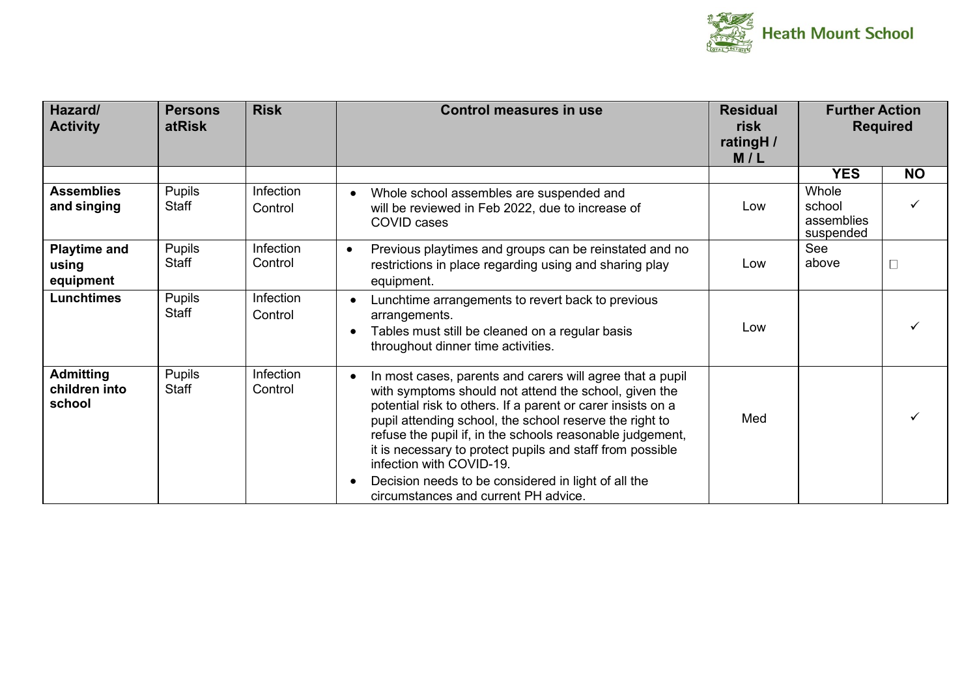

| Hazard/<br><b>Activity</b>                  | <b>Persons</b><br><b>atRisk</b> | <b>Risk</b>          | <b>Control measures in use</b>                                                                                                                                                                                                                                                                                                                                                                                                                                                                    | <b>Residual</b><br>risk<br>ratingH /<br>M/L | <b>Further Action</b>                      | <b>Required</b> |
|---------------------------------------------|---------------------------------|----------------------|---------------------------------------------------------------------------------------------------------------------------------------------------------------------------------------------------------------------------------------------------------------------------------------------------------------------------------------------------------------------------------------------------------------------------------------------------------------------------------------------------|---------------------------------------------|--------------------------------------------|-----------------|
|                                             |                                 |                      |                                                                                                                                                                                                                                                                                                                                                                                                                                                                                                   |                                             | <b>YES</b>                                 | <b>NO</b>       |
| <b>Assemblies</b><br>and singing            | <b>Pupils</b><br>Staff          | Infection<br>Control | Whole school assembles are suspended and<br>will be reviewed in Feb 2022, due to increase of<br>COVID cases                                                                                                                                                                                                                                                                                                                                                                                       | Low                                         | Whole<br>school<br>assemblies<br>suspended |                 |
| <b>Playtime and</b><br>using<br>equipment   | <b>Pupils</b><br><b>Staff</b>   | Infection<br>Control | Previous playtimes and groups can be reinstated and no<br>$\bullet$<br>restrictions in place regarding using and sharing play<br>equipment.                                                                                                                                                                                                                                                                                                                                                       | Low                                         | See<br>above                               |                 |
| <b>Lunchtimes</b>                           | <b>Pupils</b><br>Staff          | Infection<br>Control | Lunchtime arrangements to revert back to previous<br>arrangements.<br>Tables must still be cleaned on a regular basis<br>throughout dinner time activities.                                                                                                                                                                                                                                                                                                                                       | Low                                         |                                            |                 |
| <b>Admitting</b><br>children into<br>school | <b>Pupils</b><br>Staff          | Infection<br>Control | In most cases, parents and carers will agree that a pupil<br>with symptoms should not attend the school, given the<br>potential risk to others. If a parent or carer insists on a<br>pupil attending school, the school reserve the right to<br>refuse the pupil if, in the schools reasonable judgement,<br>it is necessary to protect pupils and staff from possible<br>infection with COVID-19.<br>Decision needs to be considered in light of all the<br>circumstances and current PH advice. | Med                                         |                                            |                 |